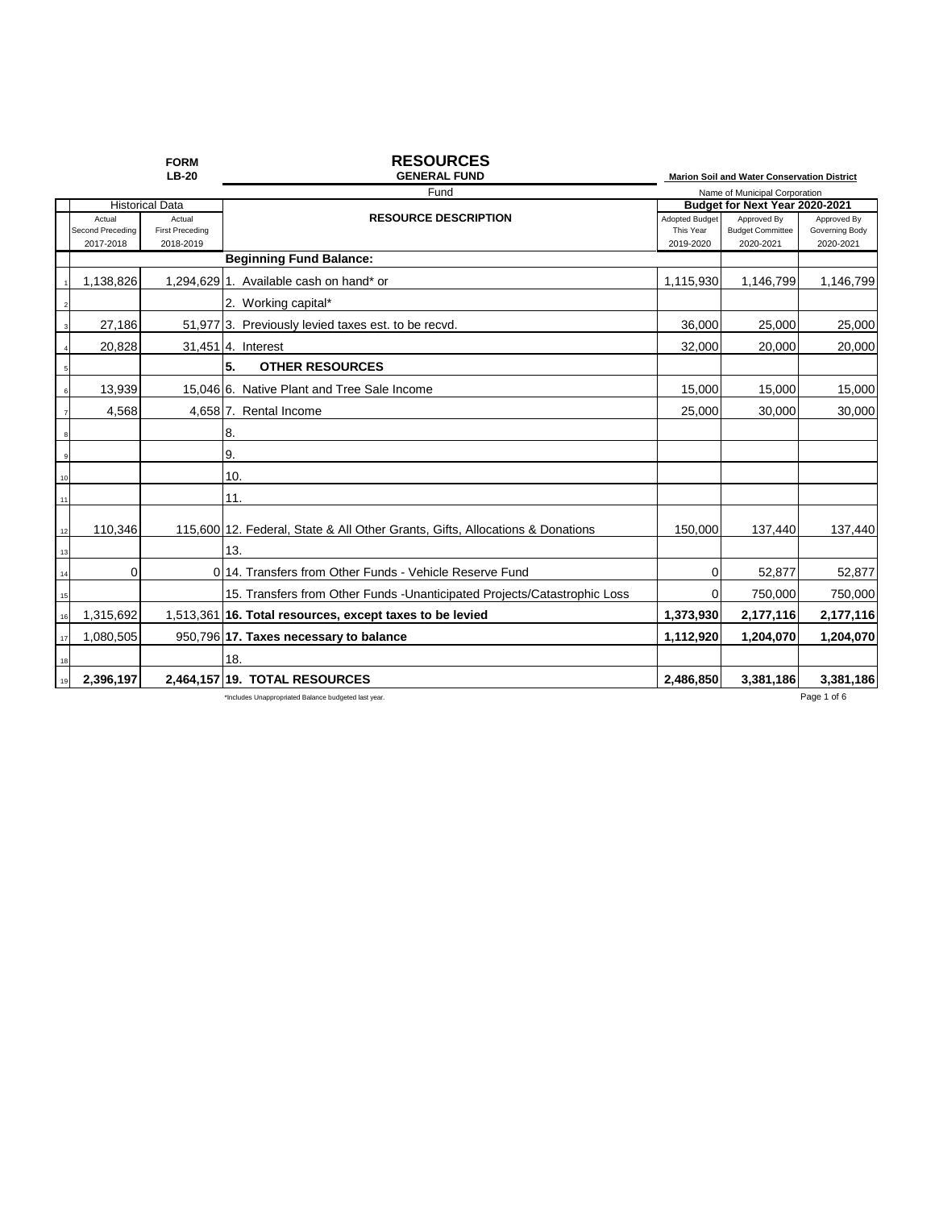|    |                  | <b>FORM</b><br>$LB-20$ | <b>RESOURCES</b><br><b>GENERAL FUND</b>                                       |                |                                                                              |                |
|----|------------------|------------------------|-------------------------------------------------------------------------------|----------------|------------------------------------------------------------------------------|----------------|
|    |                  |                        | Fund                                                                          |                | Marion Soil and Water Conservation District<br>Name of Municipal Corporation |                |
|    |                  | <b>Historical Data</b> |                                                                               |                | Budget for Next Year 2020-2021                                               |                |
|    | Actual           | Actual                 | <b>RESOURCE DESCRIPTION</b>                                                   | Adopted Budget | Approved By                                                                  | Approved By    |
|    | Second Preceding | <b>First Preceding</b> |                                                                               | This Year      | <b>Budget Committee</b>                                                      | Governing Body |
|    | 2017-2018        | 2018-2019              | <b>Beginning Fund Balance:</b>                                                | 2019-2020      | 2020-2021                                                                    | 2020-2021      |
|    |                  |                        |                                                                               |                |                                                                              |                |
|    | 1,138,826        |                        | 1.294.629 1. Available cash on hand* or                                       | 1,115,930      | 1,146,799                                                                    | 1,146,799      |
|    |                  |                        | 2. Working capital*                                                           |                |                                                                              |                |
|    | 27,186           |                        | 51,977 3. Previously levied taxes est. to be recvd.                           | 36,000         | 25,000                                                                       | 25,000         |
|    | 20,828           |                        | 31,451 4. Interest                                                            | 32,000         | 20,000                                                                       | 20,000         |
|    |                  |                        | 5.<br><b>OTHER RESOURCES</b>                                                  |                |                                                                              |                |
|    | 13,939           |                        | 15,046 6. Native Plant and Tree Sale Income                                   | 15,000         | 15,000                                                                       | 15,000         |
|    | 4,568            |                        | 4,658 7. Rental Income                                                        | 25,000         | 30,000                                                                       | 30,000         |
|    |                  |                        | 8.                                                                            |                |                                                                              |                |
|    |                  |                        | 9.                                                                            |                |                                                                              |                |
| 10 |                  |                        | 10.                                                                           |                |                                                                              |                |
| 11 |                  |                        | 11.                                                                           |                |                                                                              |                |
| 12 | 110,346          |                        | 115,600 12. Federal, State & All Other Grants, Gifts, Allocations & Donations | 150,000        | 137,440                                                                      | 137,440        |
| 13 |                  |                        | 13.                                                                           |                |                                                                              |                |
| 14 | $\mathbf 0$      |                        | 0.14. Transfers from Other Funds - Vehicle Reserve Fund                       | 0              | 52,877                                                                       | 52,877         |
| 15 |                  |                        | 15. Transfers from Other Funds - Unanticipated Projects/Catastrophic Loss     | 0              | 750,000                                                                      | 750,000        |
| 16 | 1,315,692        |                        | 1,513,361 16. Total resources, except taxes to be levied                      | 1,373,930      | 2,177,116                                                                    | 2,177,116      |
| 17 | 1,080,505        |                        | 950,796 17. Taxes necessary to balance                                        | 1,112,920      | 1,204,070                                                                    | 1,204,070      |
| 18 |                  |                        | 18.                                                                           |                |                                                                              |                |
|    | 2,396,197        |                        | 2,464,157 19. TOTAL RESOURCES                                                 | 2,486,850      | 3,381,186                                                                    | 3,381,186      |
|    |                  |                        | *Includes Unappropriated Balance budgeted last year.                          |                |                                                                              | Page 1 of 6    |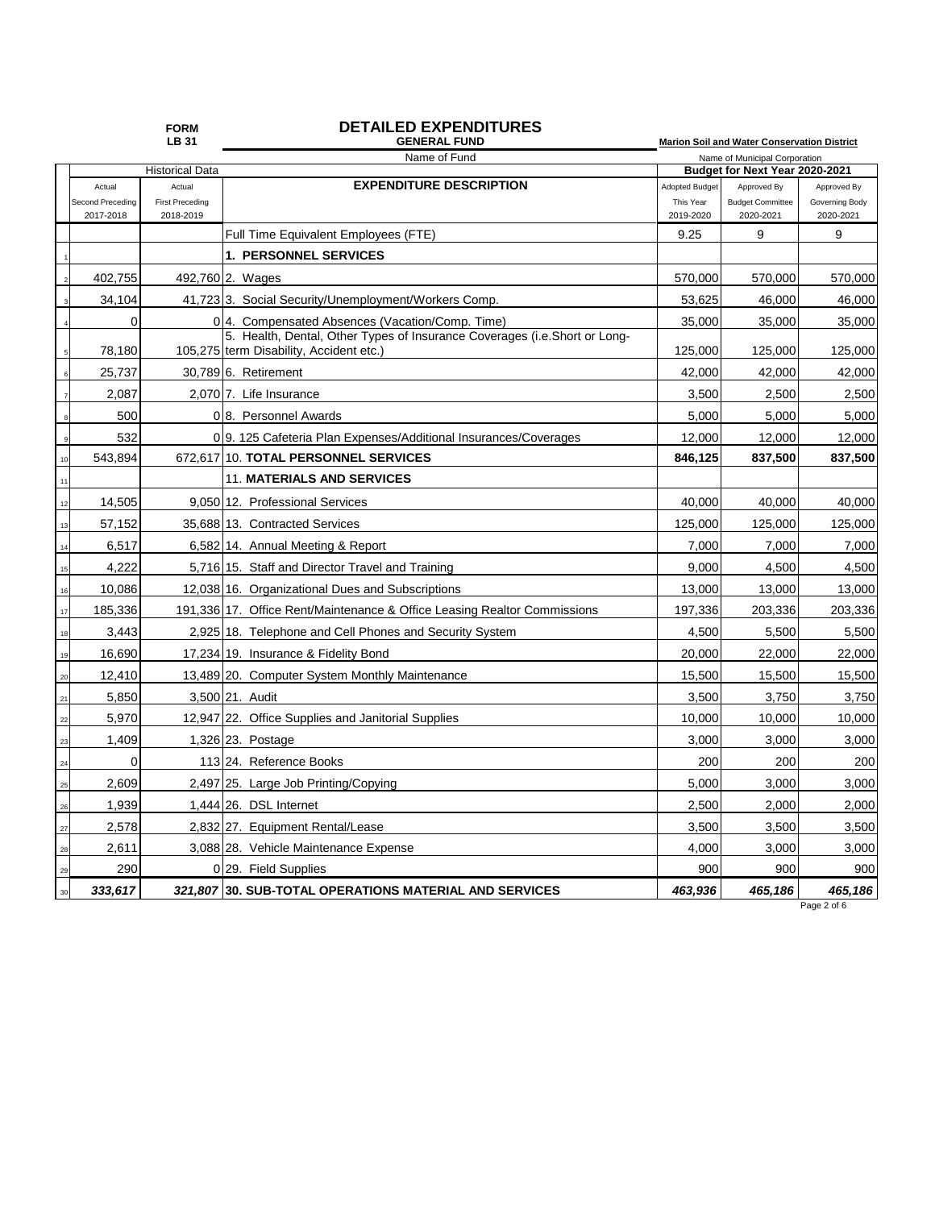### **FORM DETAILED EXPENDITURES**

|                               | <b>LB31</b>                         | <b>GENERAL FUND</b>                                                       |                               | <b>Marion Soil and Water Conservation District</b> |                             |
|-------------------------------|-------------------------------------|---------------------------------------------------------------------------|-------------------------------|----------------------------------------------------|-----------------------------|
|                               |                                     | Name of Fund                                                              | Name of Municipal Corporation |                                                    |                             |
|                               | <b>Historical Data</b>              |                                                                           |                               | Budget for Next Year 2020-2021                     |                             |
| Actual                        | Actual                              | <b>EXPENDITURE DESCRIPTION</b>                                            | <b>Adopted Budget</b>         | Approved By                                        | Approved By                 |
| Second Preceding<br>2017-2018 | <b>First Preceding</b><br>2018-2019 |                                                                           | This Year<br>2019-2020        | <b>Budget Committee</b><br>2020-2021               | Governing Body<br>2020-2021 |
|                               |                                     | Full Time Equivalent Employees (FTE)                                      | 9.25                          | 9                                                  | 9                           |
|                               |                                     | <b>1. PERSONNEL SERVICES</b>                                              |                               |                                                    |                             |
| 402,755                       |                                     | 492,760 2. Wages                                                          | 570,000                       | 570,000                                            | 570,000                     |
| 34,104                        |                                     | 41,723 3. Social Security/Unemployment/Workers Comp.                      | 53,625                        | 46,000                                             | 46,000                      |
| 0                             |                                     | 0 <sup>4</sup> . Compensated Absences (Vacation/Comp. Time)               | 35,000                        | 35,000                                             | 35,000                      |
|                               |                                     | 5. Health, Dental, Other Types of Insurance Coverages (i.e.Short or Long- |                               |                                                    |                             |
| 78,180                        |                                     | 105,275 term Disability, Accident etc.)                                   | 125,000                       | 125,000                                            | 125,000                     |
| 25,737                        |                                     | 30.789 6. Retirement                                                      | 42,000                        | 42,000                                             | 42,000                      |
| 2,087                         |                                     | 2,070 7. Life Insurance                                                   | 3,500                         | 2,500                                              | 2,500                       |
| 500                           |                                     | 08. Personnel Awards                                                      | 5,000                         | 5,000                                              | 5,000                       |
| 532                           |                                     | 0.9. 125 Cafeteria Plan Expenses/Additional Insurances/Coverages          | 12,000                        | 12,000                                             | 12,000                      |
| 543.894                       |                                     | 672.617 10. TOTAL PERSONNEL SERVICES                                      | 846,125                       | 837,500                                            | 837,500                     |
|                               |                                     | <b>11. MATERIALS AND SERVICES</b>                                         |                               |                                                    |                             |
| 14,505                        |                                     | 9,050 12. Professional Services                                           | 40,000                        | 40,000                                             | 40,000                      |
| 57,152<br>13                  |                                     | 35.688113. Contracted Services                                            | 125,000                       | 125,000                                            | 125,000                     |
| 6,517<br>14                   |                                     | 6,582 14. Annual Meeting & Report                                         | 7,000                         | 7,000                                              | 7,000                       |
| 4.222<br>15                   |                                     | 5,716 15. Staff and Director Travel and Training                          | 9.000                         | 4,500                                              | 4,500                       |
| 10,086                        |                                     | 12,038 16. Organizational Dues and Subscriptions                          | 13,000                        | 13,000                                             | 13,000                      |
| 185,336<br>17                 |                                     | 191,336 17. Office Rent/Maintenance & Office Leasing Realtor Commissions  | 197,336                       | 203,336                                            | 203,336                     |
| 3,443<br>18                   |                                     | 2,925 18. Telephone and Cell Phones and Security System                   | 4,500                         | 5,500                                              | 5,500                       |
| 16,690                        |                                     | 17,234 19. Insurance & Fidelity Bond                                      | 20,000                        | 22,000                                             | 22,000                      |
| 12,410<br>20                  |                                     | 13,489 20. Computer System Monthly Maintenance                            | 15,500                        | 15,500                                             | 15,500                      |
| 5,850<br>21                   |                                     | 3.500 21. Audit                                                           | 3,500                         | 3,750                                              | 3,750                       |
| 5,970<br>22                   |                                     | 12,947 22. Office Supplies and Janitorial Supplies                        | 10,000                        | 10,000                                             | 10,000                      |
| 1,409<br>23                   |                                     | 1,326 23. Postage                                                         | 3.000                         | 3,000                                              | 3,000                       |
| $\Omega$<br>24                |                                     | 113 24. Reference Books                                                   | 200                           | 200                                                | 200                         |
| 2,609<br>25                   |                                     | 2,497 25. Large Job Printing/Copying                                      | 5,000                         | 3,000                                              | 3,000                       |
| 1,939<br>26                   |                                     | $1,444$ 26. DSL Internet                                                  | 2,500                         | 2,000                                              | 2,000                       |
| 2,578<br>27                   |                                     | 2,832 27. Equipment Rental/Lease                                          | 3,500                         | 3,500                                              | 3,500                       |
| 2,611<br>28                   |                                     | 3,088 28. Vehicle Maintenance Expense                                     | 4,000                         | 3,000                                              | 3,000                       |
| 290<br>29                     |                                     | 0 29. Field Supplies                                                      | 900                           | 900                                                | 900                         |
| 333,617<br>30                 |                                     | 321,807 30. SUB-TOTAL OPERATIONS MATERIAL AND SERVICES                    | 463,936                       | 465,186                                            | 465,186                     |

Page 2 of 6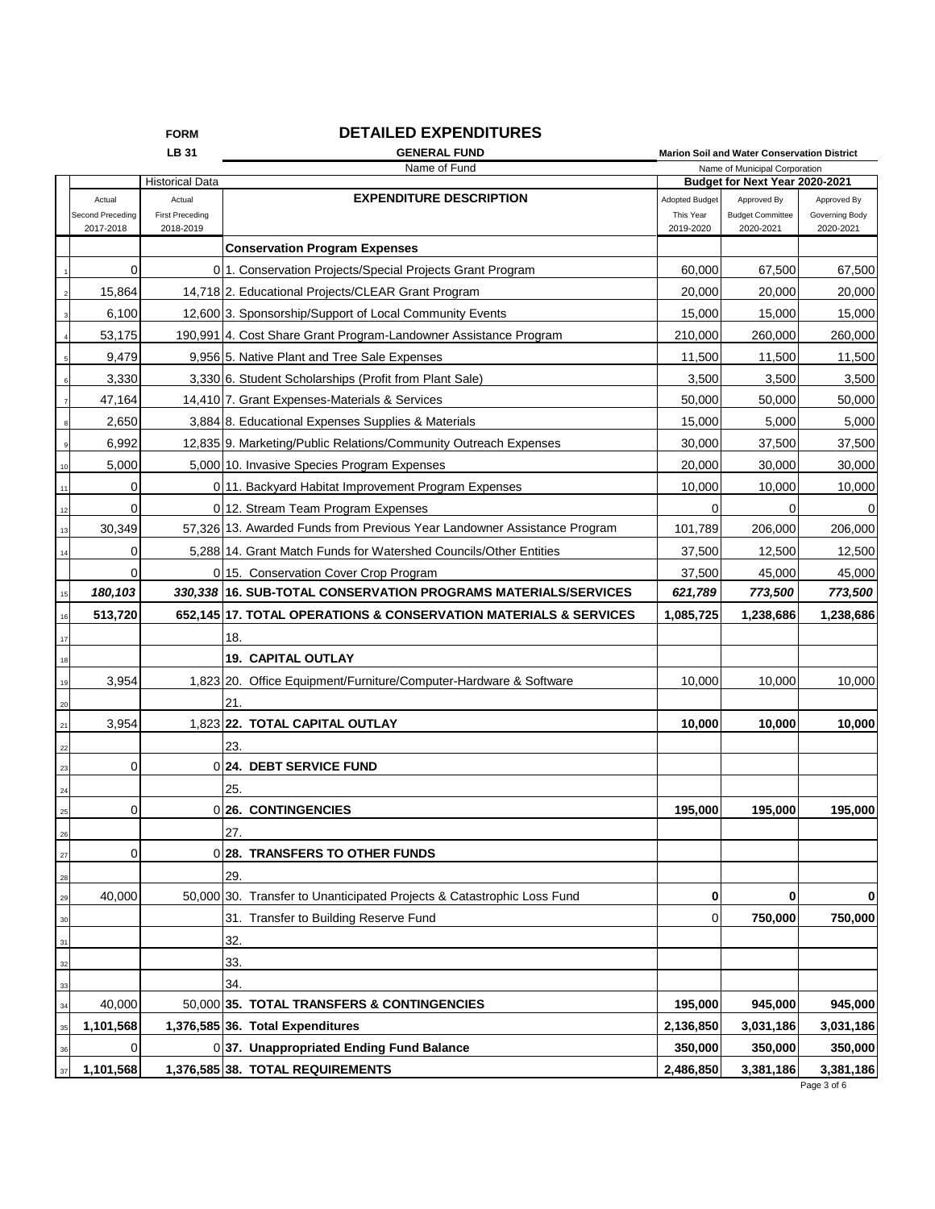|             |                  | <b>FORM</b>            | <b>DETAILED EXPENDITURES</b>                                             |                       |                                                                 |                |
|-------------|------------------|------------------------|--------------------------------------------------------------------------|-----------------------|-----------------------------------------------------------------|----------------|
|             |                  | LB 31                  | <b>GENERAL FUND</b>                                                      |                       | <b>Marion Soil and Water Conservation District</b>              |                |
|             |                  | <b>Historical Data</b> | Name of Fund                                                             |                       | Name of Municipal Corporation<br>Budget for Next Year 2020-2021 |                |
|             | Actual           | Actual                 | <b>EXPENDITURE DESCRIPTION</b>                                           | <b>Adopted Budget</b> | Approved By                                                     | Approved By    |
|             | Second Preceding | <b>First Preceding</b> |                                                                          | This Year             | <b>Budget Committee</b>                                         | Governing Body |
|             | 2017-2018        | 2018-2019              |                                                                          | 2019-2020             | 2020-2021                                                       | 2020-2021      |
|             |                  |                        | <b>Conservation Program Expenses</b>                                     |                       |                                                                 |                |
|             | $\mathbf 0$      |                        | 011. Conservation Projects/Special Projects Grant Program                | 60,000                | 67,500                                                          | 67,500         |
|             | 15,864           |                        | 14,718 2. Educational Projects/CLEAR Grant Program                       | 20,000                | 20,000                                                          | 20,000         |
|             | 6,100            |                        | 12,600 3. Sponsorship/Support of Local Community Events                  | 15,000                | 15,000                                                          | 15,000         |
|             | 53,175           |                        | 190,991 4. Cost Share Grant Program-Landowner Assistance Program         | 210,000               | 260,000                                                         | 260,000        |
|             | 9,479            |                        | 9,956 5. Native Plant and Tree Sale Expenses                             | 11,500                | 11,500                                                          | 11,500         |
|             | 3,330            |                        | 3,330 6. Student Scholarships (Profit from Plant Sale)                   | 3,500                 | 3,500                                                           | 3,500          |
|             | 47,164           |                        | 14,410 7. Grant Expenses-Materials & Services                            | 50,000                | 50,000                                                          | 50,000         |
|             | 2,650            |                        | 3,884 8. Educational Expenses Supplies & Materials                       | 15,000                | 5,000                                                           | 5,000          |
|             | 6,992            |                        | 12,835 9. Marketing/Public Relations/Community Outreach Expenses         | 30,000                | 37,500                                                          | 37,500         |
| 10          | 5,000            |                        | 5,000 10. Invasive Species Program Expenses                              | 20,000                | 30,000                                                          | 30,000         |
| 11          | 0                |                        | 0 11. Backyard Habitat Improvement Program Expenses                      | 10,000                | 10,000                                                          | 10,000         |
| 12          | 0                |                        | 0 12. Stream Team Program Expenses                                       | 0                     | 0                                                               | 0              |
| 13          | 30,349           |                        | 57.326 13. Awarded Funds from Previous Year Landowner Assistance Program | 101,789               | 206,000                                                         | 206,000        |
| 14          | 0                |                        | 5,288 14. Grant Match Funds for Watershed Councils/Other Entities        | 37,500                | 12,500                                                          | 12,500         |
|             | $\Omega$         |                        | 0 15. Conservation Cover Crop Program                                    | 37,500                | 45,000                                                          | 45,000         |
| 15          | 180,103          |                        | 330,338 16. SUB-TOTAL CONSERVATION PROGRAMS MATERIALS/SERVICES           | 621,789               | 773,500                                                         | 773,500        |
| 16          | 513,720          |                        | 652,145 17. TOTAL OPERATIONS & CONSERVATION MATERIALS & SERVICES         | 1,085,725             | 1,238,686                                                       | 1,238,686      |
| 17          |                  |                        | 18.                                                                      |                       |                                                                 |                |
| 18          |                  |                        | <b>19. CAPITAL OUTLAY</b>                                                |                       |                                                                 |                |
| 19          | 3,954            |                        | 1,823 20. Office Equipment/Furniture/Computer-Hardware & Software        | 10,000                | 10,000                                                          | 10,000         |
| $20\,$      |                  |                        | 21.                                                                      |                       |                                                                 |                |
| 21          | 3,954            |                        | 1,823 22. TOTAL CAPITAL OUTLAY                                           | 10,000                | 10,000                                                          | 10,000         |
| 22          |                  |                        | 23.                                                                      |                       |                                                                 |                |
| 23          | $\mathbf 0$      |                        | 0 24. DEBT SERVICE FUND                                                  |                       |                                                                 |                |
| 24          |                  |                        | 25.                                                                      |                       |                                                                 |                |
| $\bf 25$    | 0                |                        | 0126. CONTINGENCIES                                                      | 195,000               | 195,000                                                         | 195,000        |
| 26          |                  |                        | 27.                                                                      |                       |                                                                 |                |
| 27          | $\mathbf 0$      |                        | 0 28. TRANSFERS TO OTHER FUNDS                                           |                       |                                                                 |                |
|             |                  |                        | 29.                                                                      |                       |                                                                 |                |
| 28<br>29    | 40,000           |                        | 50,000 30. Transfer to Unanticipated Projects & Catastrophic Loss Fund   | 0                     | 0                                                               | 0              |
| $_{\rm 30}$ |                  |                        | 31. Transfer to Building Reserve Fund                                    | 0                     | 750,000                                                         | 750,000        |
|             |                  |                        |                                                                          |                       |                                                                 |                |
| 31          |                  |                        | 32.                                                                      |                       |                                                                 |                |
| $^{\rm 32}$ |                  |                        | 33.                                                                      |                       |                                                                 |                |
| 33          |                  |                        | 34.                                                                      |                       |                                                                 |                |
| 34          | 40,000           |                        | 50,000 35. TOTAL TRANSFERS & CONTINGENCIES                               | 195,000               | 945,000                                                         | 945,000        |
| $35\,$      | 1,101,568        |                        | 1,376,585 36. Total Expenditures                                         | 2,136,850             | 3,031,186                                                       | 3,031,186      |
| 36          | 0                |                        | 037. Unappropriated Ending Fund Balance                                  | 350,000               | 350,000                                                         | 350,000        |
| 37          | 1,101,568        |                        | 1,376,585 38. TOTAL REQUIREMENTS                                         | 2,486,850             | 3,381,186                                                       | 3,381,186      |

Page 3 of 6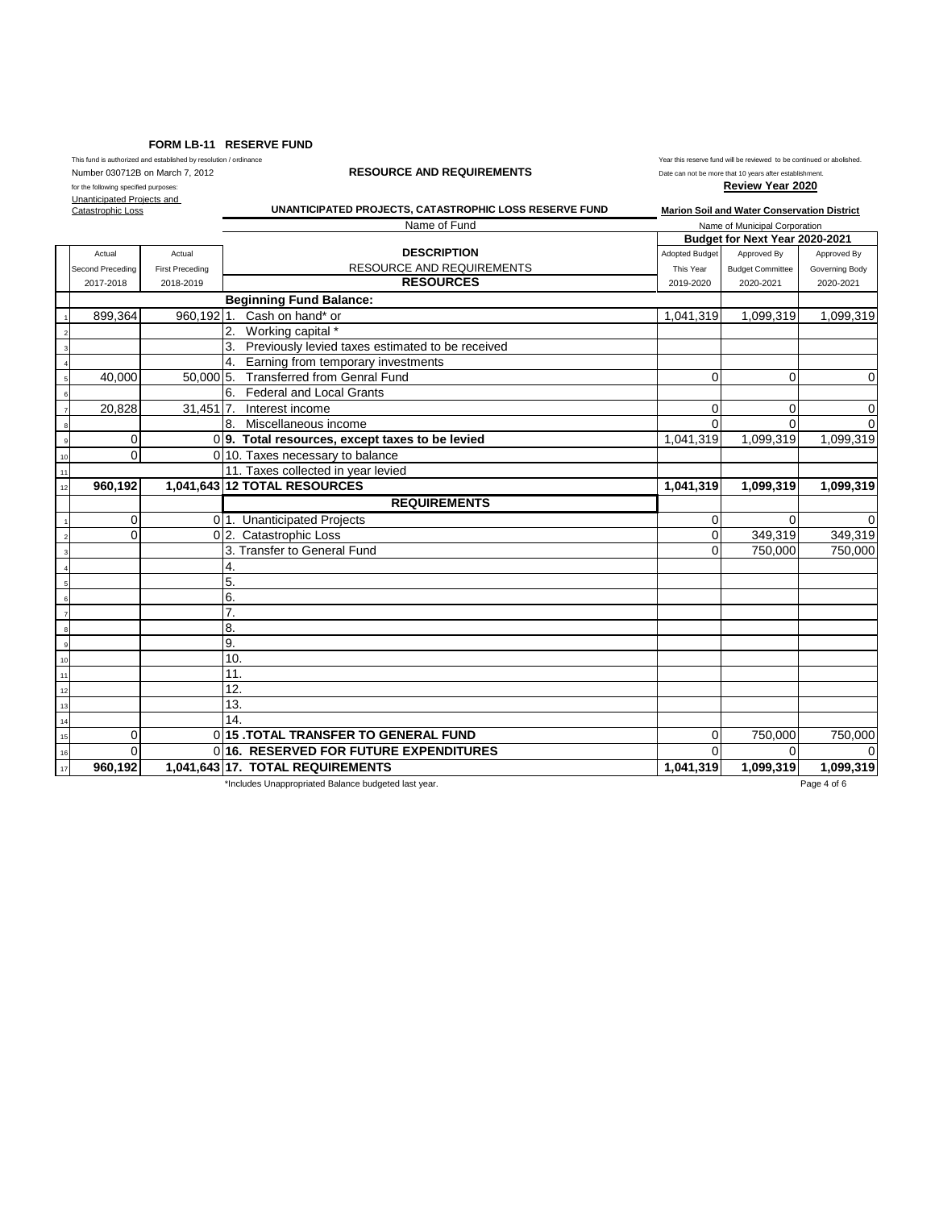#### **FORM LB-11 RESERVE FUND**

# Number 030712B on March 7, 2012 **RESOURCE AND REQUIREMENTS**<br>
for the following specified purposes:<br>
Review Year 2020

This fund is authorized and established by resolution / ordinance  $\blacksquare$  Year this reserve fund will be reviewed to be continued or abolished.

for the following specified purposes: Unanticipated Projects and

Catastrophic Loss

**UNANTICIPATED PROJECTS, CATASTROPHIC LOSS RESERVE FUND Marion Soil and Water Conservation District**

|    |                  |                        | Name of Fund<br>Name of Municipal Corporation        |                       |                                |                |
|----|------------------|------------------------|------------------------------------------------------|-----------------------|--------------------------------|----------------|
|    |                  |                        |                                                      |                       | Budget for Next Year 2020-2021 |                |
|    | Actual           | Actual                 | <b>DESCRIPTION</b>                                   | <b>Adopted Budget</b> | Approved By                    | Approved By    |
|    | Second Preceding | <b>First Preceding</b> | <b>RESOURCE AND REQUIREMENTS</b>                     | This Year             | <b>Budget Committee</b>        | Governing Body |
|    | 2017-2018        | 2018-2019              | <b>RESOURCES</b>                                     | 2019-2020             | 2020-2021                      | 2020-2021      |
|    |                  |                        | <b>Beginning Fund Balance:</b>                       |                       |                                |                |
|    | 899,364          | 960,1921.              | Cash on hand* or                                     | 1,041,319             | 1,099,319                      | 1,099,319      |
|    |                  |                        | 2. Working capital *                                 |                       |                                |                |
|    |                  |                        | 3. Previously levied taxes estimated to be received  |                       |                                |                |
|    |                  |                        | Earning from temporary investments<br>4.             |                       |                                |                |
|    | 40,000           |                        | 50,000 5. Transferred from Genral Fund               | $\Omega$              | $\Omega$                       | $\mathbf 0$    |
|    |                  |                        | <b>Federal and Local Grants</b><br>6.                |                       |                                |                |
|    | 20,828           | $31,451$ 7.            | Interest income                                      | $\Omega$              | $\Omega$                       | $\mathbf 0$    |
|    |                  |                        | 8.<br>Miscellaneous income                           | $\Omega$              | $\Omega$                       | $\Omega$       |
|    | 0                |                        | 09. Total resources, except taxes to be levied       | 1,041,319             | 1,099,319                      | 1,099,319      |
| 10 | 0                |                        | 0 10. Taxes necessary to balance                     |                       |                                |                |
| 11 |                  |                        | 11. Taxes collected in year levied                   |                       |                                |                |
| 12 | 960,192          |                        | 1,041,643 12 TOTAL RESOURCES                         | 1,041,319             | 1,099,319                      | 1,099,319      |
|    |                  |                        | <b>REQUIREMENTS</b>                                  |                       |                                |                |
|    | 0                |                        | 01. Unanticipated Projects                           | $\mathbf 0$           | $\Omega$                       | $\Omega$       |
|    | $\Omega$         |                        | 0 2. Catastrophic Loss                               | $\Omega$              | 349,319                        | 349,319        |
|    |                  |                        | 3. Transfer to General Fund                          | $\Omega$              | 750.000                        | 750,000        |
|    |                  |                        | 4.                                                   |                       |                                |                |
|    |                  |                        | 5.                                                   |                       |                                |                |
|    |                  |                        | 6.                                                   |                       |                                |                |
|    |                  |                        | 7.                                                   |                       |                                |                |
|    |                  |                        | 8.                                                   |                       |                                |                |
|    |                  |                        | 9.                                                   |                       |                                |                |
|    |                  |                        | 10 <sub>1</sub>                                      |                       |                                |                |
|    |                  |                        | 11.                                                  |                       |                                |                |
| 12 |                  |                        | 12.                                                  |                       |                                |                |
| 13 |                  |                        | 13.                                                  |                       |                                |                |
| 14 |                  |                        | 14                                                   |                       |                                |                |
| 15 | 0                |                        | 0115 TOTAL TRANSFER TO GENERAL FUND                  | $\Omega$              | 750,000                        | 750,000        |
| 16 | $\Omega$         |                        | 016. RESERVED FOR FUTURE EXPENDITURES                | $\Omega$              | $\Omega$                       | $\Omega$       |
| 17 | 960,192          |                        | 1,041,643 17. TOTAL REQUIREMENTS                     | 1,041,319             | 1,099,319                      | 1,099,319      |
|    |                  |                        | *Includes Unappropriated Balance budgeted last year. |                       |                                | Page 4 of 6    |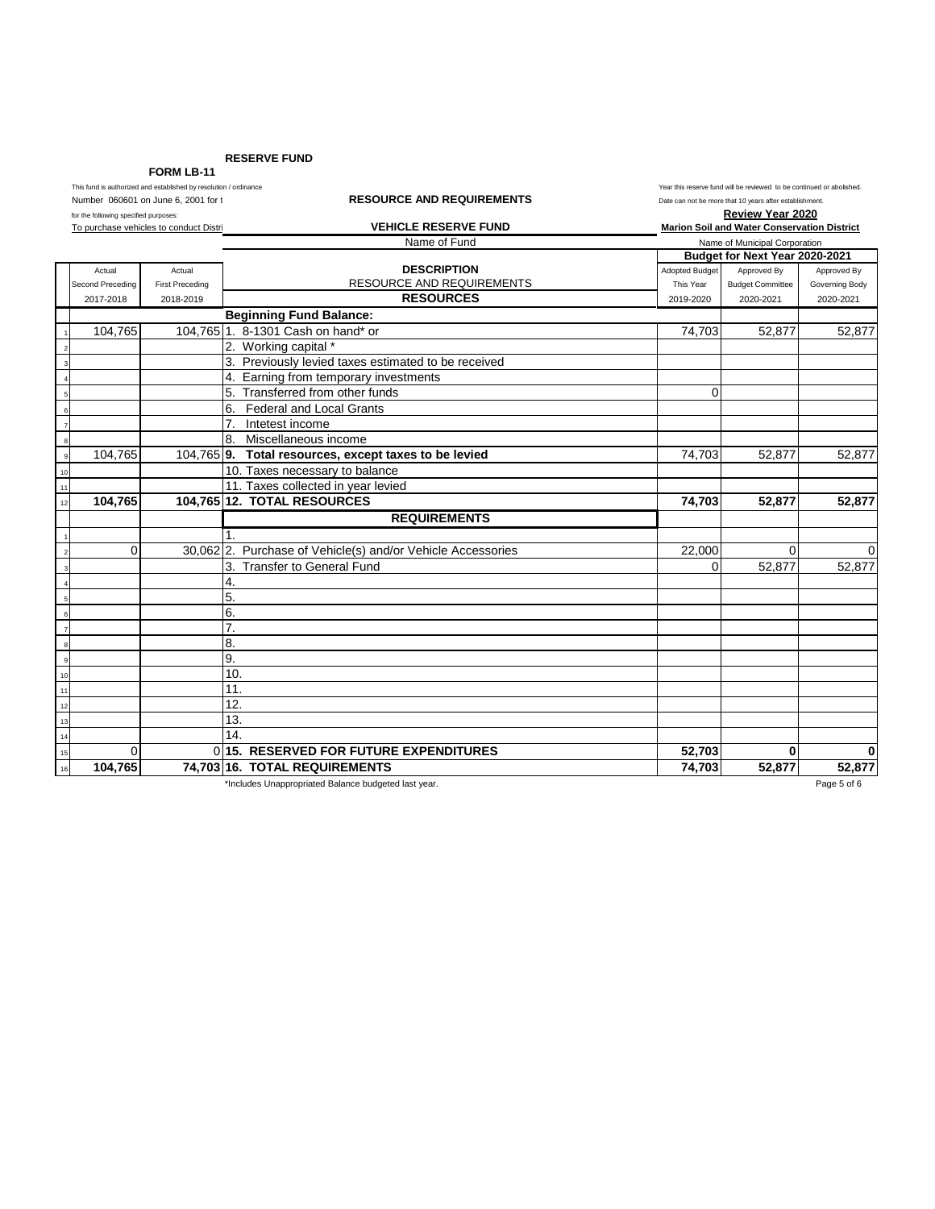**RESERVE FUND**

**FORM LB-11**<br>This fund is authorized and established by resolution

| This fund is authorized and established by resolution / ordinance<br><b>RESOURCE AND REQUIREMENTS</b><br>Number 060601 on June 6, 2001 for t |                  | Year this reserve fund will be reviewed to be continued or abolished<br>Date can not be more that 10 years after establishment. |                                                             |                                             |                               |                |  |
|----------------------------------------------------------------------------------------------------------------------------------------------|------------------|---------------------------------------------------------------------------------------------------------------------------------|-------------------------------------------------------------|---------------------------------------------|-------------------------------|----------------|--|
| for the following specified purposes:                                                                                                        |                  |                                                                                                                                 |                                                             | <b>Review Year 2020</b>                     |                               |                |  |
| To purchase vehicles to conduct Distri                                                                                                       |                  |                                                                                                                                 | <b>VEHICLE RESERVE FUND</b>                                 | Marion Soil and Water Conservation District |                               |                |  |
|                                                                                                                                              |                  |                                                                                                                                 | Name of Fund                                                |                                             | Name of Municipal Corporation |                |  |
|                                                                                                                                              |                  |                                                                                                                                 |                                                             | Budget for Next Year 2020-2021              |                               |                |  |
|                                                                                                                                              | Actual           | Actual                                                                                                                          | <b>DESCRIPTION</b>                                          | <b>Adopted Budget</b>                       | Approved By                   | Approved By    |  |
|                                                                                                                                              | Second Preceding | <b>First Preceding</b>                                                                                                          | RESOURCE AND REQUIREMENTS                                   | This Year                                   | <b>Budget Committee</b>       | Governing Body |  |
|                                                                                                                                              | 2017-2018        | 2018-2019                                                                                                                       | <b>RESOURCES</b>                                            | 2019-2020                                   | 2020-2021                     | 2020-2021      |  |
|                                                                                                                                              |                  |                                                                                                                                 | <b>Beginning Fund Balance:</b>                              |                                             |                               |                |  |
|                                                                                                                                              | 104,765          |                                                                                                                                 | 104,765 1. 8-1301 Cash on hand* or                          | 74,703                                      | 52,877                        | 52,877         |  |
|                                                                                                                                              |                  |                                                                                                                                 | 2. Working capital *                                        |                                             |                               |                |  |
|                                                                                                                                              |                  |                                                                                                                                 | 3. Previously levied taxes estimated to be received         |                                             |                               |                |  |
|                                                                                                                                              |                  |                                                                                                                                 | 4. Earning from temporary investments                       |                                             |                               |                |  |
|                                                                                                                                              |                  |                                                                                                                                 | 5. Transferred from other funds                             | $\Omega$                                    |                               |                |  |
|                                                                                                                                              |                  |                                                                                                                                 | 6.<br><b>Federal and Local Grants</b>                       |                                             |                               |                |  |
| $\overline{7}$                                                                                                                               |                  |                                                                                                                                 | 7 <sub>1</sub><br>Intetest income                           |                                             |                               |                |  |
|                                                                                                                                              |                  |                                                                                                                                 | 8. Miscellaneous income                                     |                                             |                               |                |  |
|                                                                                                                                              | 104.765          |                                                                                                                                 | 104,765 9. Total resources, except taxes to be levied       | 74,703                                      | 52,877                        | 52,877         |  |
| 10                                                                                                                                           |                  |                                                                                                                                 | 10. Taxes necessary to balance                              |                                             |                               |                |  |
| 11                                                                                                                                           |                  |                                                                                                                                 | 11. Taxes collected in year levied                          |                                             |                               |                |  |
| 12                                                                                                                                           | 104,765          |                                                                                                                                 | 104,765 12. TOTAL RESOURCES                                 | 74,703                                      | 52,877                        | 52,877         |  |
|                                                                                                                                              |                  |                                                                                                                                 | <b>REQUIREMENTS</b>                                         |                                             |                               |                |  |
|                                                                                                                                              |                  |                                                                                                                                 | $\mathbf 1$                                                 |                                             |                               |                |  |
|                                                                                                                                              | $\Omega$         |                                                                                                                                 | 30,062 2. Purchase of Vehicle(s) and/or Vehicle Accessories | 22,000                                      | $\Omega$                      | 0              |  |
|                                                                                                                                              |                  |                                                                                                                                 | 3. Transfer to General Fund                                 | $\Omega$                                    | 52,877                        | 52,877         |  |
|                                                                                                                                              |                  |                                                                                                                                 | 4.                                                          |                                             |                               |                |  |
|                                                                                                                                              |                  |                                                                                                                                 | 5.                                                          |                                             |                               |                |  |
|                                                                                                                                              |                  |                                                                                                                                 | 6.                                                          |                                             |                               |                |  |
| $\overline{7}$                                                                                                                               |                  |                                                                                                                                 | 7.                                                          |                                             |                               |                |  |
| $\boldsymbol{8}$                                                                                                                             |                  |                                                                                                                                 | 8.                                                          |                                             |                               |                |  |
| $_{9}$                                                                                                                                       |                  |                                                                                                                                 | 9.                                                          |                                             |                               |                |  |
| 10                                                                                                                                           |                  |                                                                                                                                 | 10.                                                         |                                             |                               |                |  |
| 11                                                                                                                                           |                  |                                                                                                                                 | 11.                                                         |                                             |                               |                |  |
| 12                                                                                                                                           |                  |                                                                                                                                 | 12.                                                         |                                             |                               |                |  |
| 13                                                                                                                                           |                  |                                                                                                                                 | 13.                                                         |                                             |                               |                |  |
| 14                                                                                                                                           |                  |                                                                                                                                 | 14.                                                         |                                             |                               |                |  |
| 15                                                                                                                                           | $\Omega$         |                                                                                                                                 | 015. RESERVED FOR FUTURE EXPENDITURES                       | 52,703                                      | $\bf{0}$                      | 0              |  |
| 16                                                                                                                                           | 104.765          |                                                                                                                                 | 74.703 16. TOTAL REQUIREMENTS                               | 74.703                                      | 52.877                        | 52,877         |  |

\*Includes Unappropriated Balance budgeted last year. Page 5 of 6